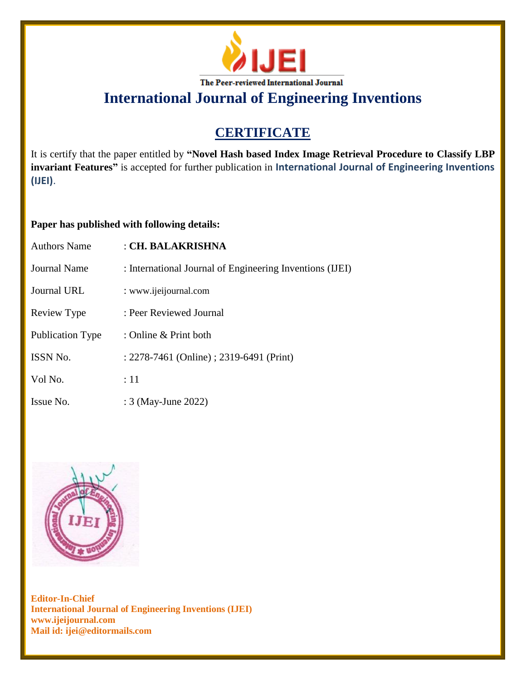

## **CERTIFICATE**

It is certify that the paper entitled by **"Novel Hash based Index Image Retrieval Procedure to Classify LBP invariant Features"** is accepted for further publication in **International Journal of Engineering Inventions (IJEI)**.

### **Paper has published with following details:**

| <b>Authors Name</b>     | : CH. BALAKRISHNA                                        |
|-------------------------|----------------------------------------------------------|
| <b>Journal Name</b>     | : International Journal of Engineering Inventions (IJEI) |
| <b>Journal URL</b>      | : www.ijeijournal.com                                    |
| Review Type             | : Peer Reviewed Journal                                  |
| <b>Publication Type</b> | : Online & Print both                                    |
| <b>ISSN No.</b>         | : 2278-7461 (Online) ; 2319-6491 (Print)                 |
| Vol No.                 | :11                                                      |
| Issue No.               | : 3 (May-June 2022)                                      |

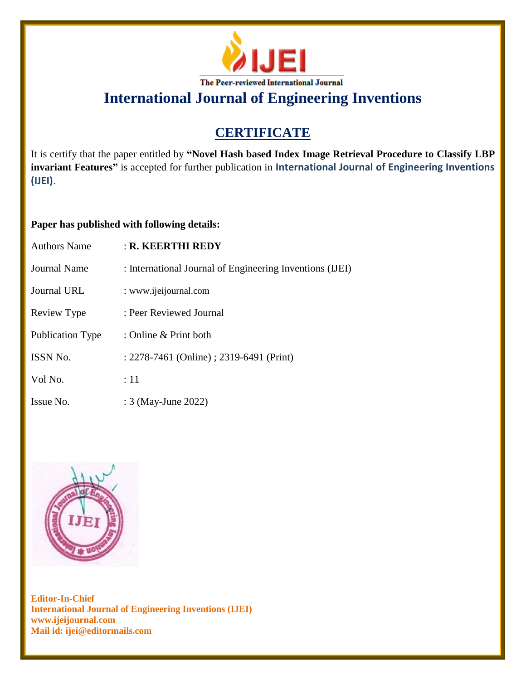

## **CERTIFICATE**

It is certify that the paper entitled by **"Novel Hash based Index Image Retrieval Procedure to Classify LBP invariant Features"** is accepted for further publication in **International Journal of Engineering Inventions (IJEI)**.

### **Paper has published with following details:**

| <b>Authors Name</b>     | $:$ R. KEERTHI REDY                                      |
|-------------------------|----------------------------------------------------------|
| Journal Name            | : International Journal of Engineering Inventions (IJEI) |
| <b>Journal URL</b>      | : www.ijeijournal.com                                    |
| Review Type             | : Peer Reviewed Journal                                  |
| <b>Publication Type</b> | : Online $&$ Print both                                  |
| <b>ISSN No.</b>         | : 2278-7461 (Online) ; 2319-6491 (Print)                 |
| Vol No.                 | $\div 11$                                                |
| Issue No.               | : 3 (May-June 2022)                                      |

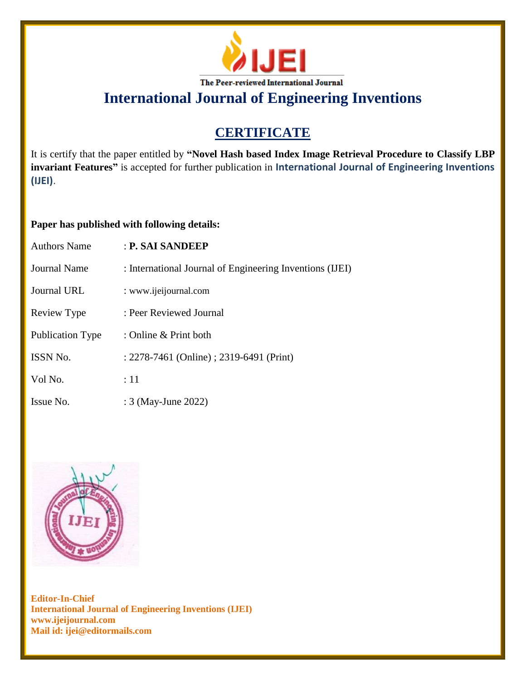

## **CERTIFICATE**

It is certify that the paper entitled by **"Novel Hash based Index Image Retrieval Procedure to Classify LBP invariant Features"** is accepted for further publication in **International Journal of Engineering Inventions (IJEI)**.

### **Paper has published with following details:**

| <b>Authors Name</b> | : P. SAI SANDEEP                                         |
|---------------------|----------------------------------------------------------|
| Journal Name        | : International Journal of Engineering Inventions (IJEI) |
| Journal URL         | : www.ijeijournal.com                                    |
| Review Type         | : Peer Reviewed Journal                                  |
| Publication Type    | : Online $&$ Print both                                  |
| <b>ISSN No.</b>     | : 2278-7461 (Online) ; 2319-6491 (Print)                 |
| Vol No.             | :11                                                      |
| Issue No.           | : 3 (May-June 2022)                                      |

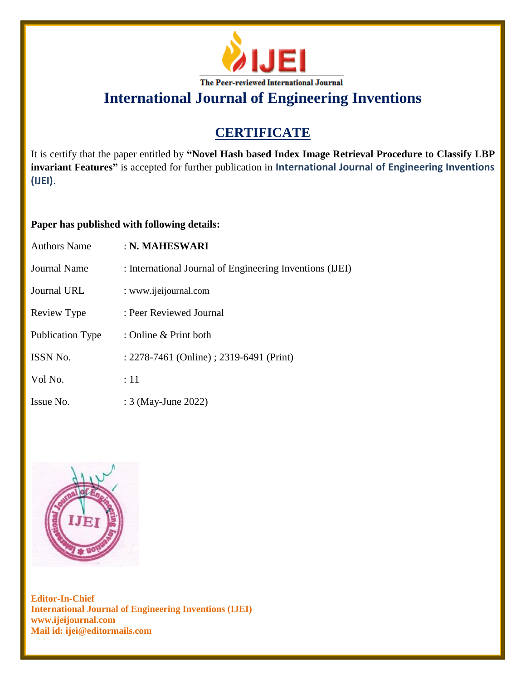

## **CERTIFICATE**

It is certify that the paper entitled by **"Novel Hash based Index Image Retrieval Procedure to Classify LBP invariant Features"** is accepted for further publication in **International Journal of Engineering Inventions (IJEI)**.

### **Paper has published with following details:**

| <b>Authors Name</b> | : N. MAHESWARI                                           |
|---------------------|----------------------------------------------------------|
| Journal Name        | : International Journal of Engineering Inventions (IJEI) |
| Journal URL         | : www.ijeijournal.com                                    |
| Review Type         | : Peer Reviewed Journal                                  |
| Publication Type    | : Online $&$ Print both                                  |
| <b>ISSN No.</b>     | : 2278-7461 (Online) ; 2319-6491 (Print)                 |
| Vol No.             | $\div 11$                                                |
| Issue No.           | : 3 (May-June 2022)                                      |